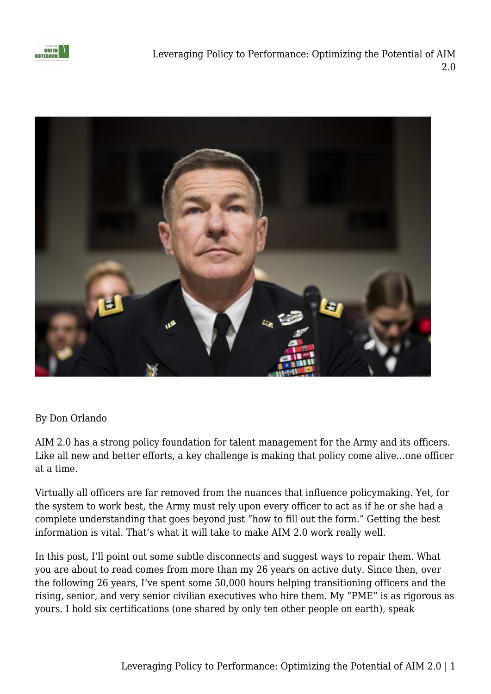



## By Don Orlando

AIM 2.0 has a strong policy foundation for talent management for the Army and its officers. Like all new and better efforts, a key challenge is making that policy come alive…one officer at a time.

Virtually all officers are far removed from the nuances that influence policymaking. Yet, for the system to work best, the Army must rely upon every officer to act as if he or she had a complete understanding that goes beyond just "how to fill out the form." Getting the best information is vital. That's what it will take to make AIM 2.0 work really well.

In this post, I'll point out some subtle disconnects and suggest ways to repair them. What you are about to read comes from more than my 26 years on active duty. Since then, over the following 26 years, I've spent some 50,000 hours helping transitioning officers and the rising, senior, and very senior civilian executives who hire them. My "PME" is as rigorous as yours. I hold six certifications (one shared by only ten other people on earth), speak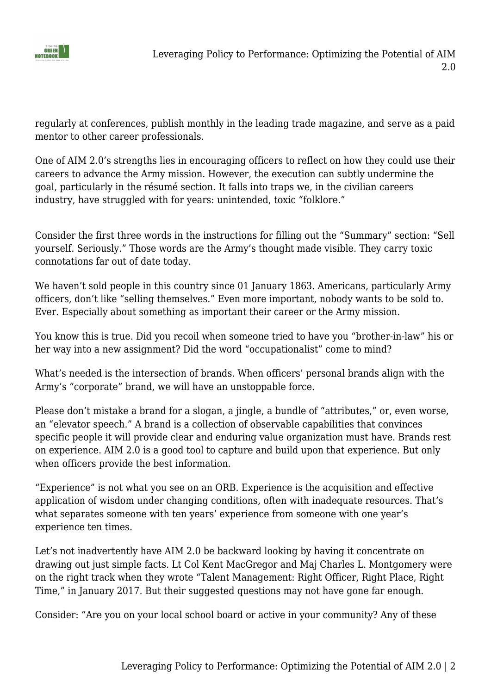

regularly at conferences, publish monthly in the leading trade magazine, and serve as a paid mentor to other career professionals.

One of AIM 2.0's strengths lies in encouraging officers to reflect on how they could use their careers to advance the Army mission. However, the execution can subtly undermine the goal, particularly in the résumé section. It falls into traps we, in the civilian careers industry, have struggled with for years: unintended, toxic "folklore."

Consider the first three words in the instructions for filling out the "Summary" section: "Sell yourself. Seriously." Those words are the Army's thought made visible. They carry toxic connotations far out of date today.

We haven't sold people in this country since 01 January 1863. Americans, particularly Army officers, don't like "selling themselves." Even more important, nobody wants to be sold to. Ever. Especially about something as important their career or the Army mission.

You know this is true. Did you recoil when someone tried to have you "brother-in-law" his or her way into a new assignment? Did the word "occupationalist" come to mind?

What's needed is the intersection of brands. When officers' personal brands align with the Army's "corporate" brand, we will have an unstoppable force.

Please don't mistake a brand for a slogan, a jingle, a bundle of "attributes," or, even worse, an "elevator speech." A brand is a collection of observable capabilities that convinces specific people it will provide clear and enduring value organization must have. Brands rest on experience. AIM 2.0 is a good tool to capture and build upon that experience. But only when officers provide the best information.

"Experience" is not what you see on an ORB. Experience is the acquisition and effective application of wisdom under changing conditions, often with inadequate resources. That's what separates someone with ten years' experience from someone with one year's experience ten times.

Let's not inadvertently have AIM 2.0 be backward looking by having it concentrate on drawing out just simple facts. Lt Col Kent MacGregor and Maj Charles L. Montgomery were on the right track when they wrote "Talent Management: Right Officer, Right Place, Right Time," in January 2017. But their suggested questions may not have gone far enough.

Consider: "Are you on your local school board or active in your community? Any of these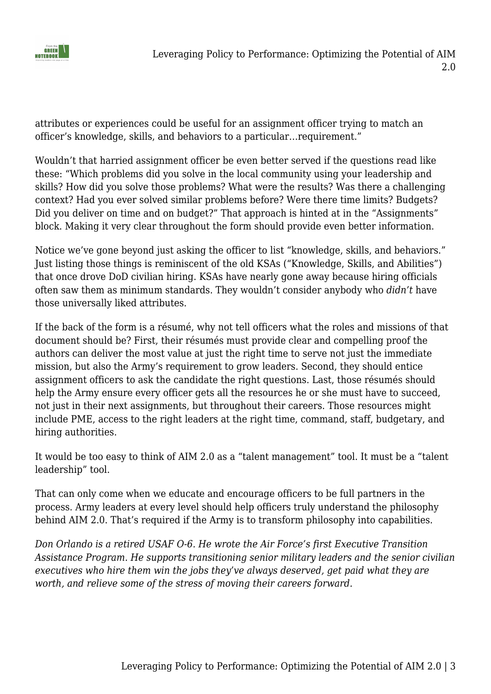

attributes or experiences could be useful for an assignment officer trying to match an officer's knowledge, skills, and behaviors to a particular…requirement."

Wouldn't that harried assignment officer be even better served if the questions read like these: "Which problems did you solve in the local community using your leadership and skills? How did you solve those problems? What were the results? Was there a challenging context? Had you ever solved similar problems before? Were there time limits? Budgets? Did you deliver on time and on budget?" That approach is hinted at in the "Assignments" block. Making it very clear throughout the form should provide even better information.

Notice we've gone beyond just asking the officer to list "knowledge, skills, and behaviors." Just listing those things is reminiscent of the old KSAs ("Knowledge, Skills, and Abilities") that once drove DoD civilian hiring. KSAs have nearly gone away because hiring officials often saw them as minimum standards. They wouldn't consider anybody who *didn't* have those universally liked attributes.

If the back of the form is a résumé, why not tell officers what the roles and missions of that document should be? First, their résumés must provide clear and compelling proof the authors can deliver the most value at just the right time to serve not just the immediate mission, but also the Army's requirement to grow leaders. Second, they should entice assignment officers to ask the candidate the right questions. Last, those résumés should help the Army ensure every officer gets all the resources he or she must have to succeed. not just in their next assignments, but throughout their careers. Those resources might include PME, access to the right leaders at the right time, command, staff, budgetary, and hiring authorities.

It would be too easy to think of AIM 2.0 as a "talent management" tool. It must be a "talent leadership" tool.

That can only come when we educate and encourage officers to be full partners in the process. Army leaders at every level should help officers truly understand the philosophy behind AIM 2.0. That's required if the Army is to transform philosophy into capabilities.

*Don Orlando is a retired USAF O-6. He wrote the Air Force's first Executive Transition Assistance Program. He supports transitioning senior military leaders and the senior civilian executives who hire them win the jobs they've always deserved, get paid what they are worth, and relieve some of the stress of moving their careers forward.*